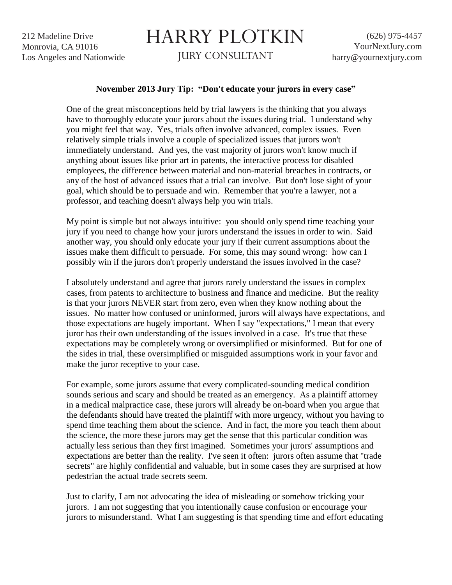212 Madeline Drive Monrovia, CA 91016 Los Angeles and Nationwide

## HARRY PLOTKIN

JURY CONSULTANT

## **November 2013 Jury Tip: "Don't educate your jurors in every case"**

One of the great misconceptions held by trial lawyers is the thinking that you always have to thoroughly educate your jurors about the issues during trial. I understand why you might feel that way. Yes, trials often involve advanced, complex issues. Even relatively simple trials involve a couple of specialized issues that jurors won't immediately understand. And yes, the vast majority of jurors won't know much if anything about issues like prior art in patents, the interactive process for disabled employees, the difference between material and non-material breaches in contracts, or any of the host of advanced issues that a trial can involve. But don't lose sight of your goal, which should be to persuade and win. Remember that you're a lawyer, not a professor, and teaching doesn't always help you win trials.

My point is simple but not always intuitive: you should only spend time teaching your jury if you need to change how your jurors understand the issues in order to win. Said another way, you should only educate your jury if their current assumptions about the issues make them difficult to persuade. For some, this may sound wrong: how can I possibly win if the jurors don't properly understand the issues involved in the case?

I absolutely understand and agree that jurors rarely understand the issues in complex cases, from patents to architecture to business and finance and medicine. But the reality is that your jurors NEVER start from zero, even when they know nothing about the issues. No matter how confused or uninformed, jurors will always have expectations, and those expectations are hugely important. When I say "expectations," I mean that every juror has their own understanding of the issues involved in a case. It's true that these expectations may be completely wrong or oversimplified or misinformed. But for one of the sides in trial, these oversimplified or misguided assumptions work in your favor and make the juror receptive to your case.

For example, some jurors assume that every complicated-sounding medical condition sounds serious and scary and should be treated as an emergency. As a plaintiff attorney in a medical malpractice case, these jurors will already be on-board when you argue that the defendants should have treated the plaintiff with more urgency, without you having to spend time teaching them about the science. And in fact, the more you teach them about the science, the more these jurors may get the sense that this particular condition was actually less serious than they first imagined. Sometimes your jurors' assumptions and expectations are better than the reality. I've seen it often: jurors often assume that "trade secrets" are highly confidential and valuable, but in some cases they are surprised at how pedestrian the actual trade secrets seem.

Just to clarify, I am not advocating the idea of misleading or somehow tricking your jurors. I am not suggesting that you intentionally cause confusion or encourage your jurors to misunderstand. What I am suggesting is that spending time and effort educating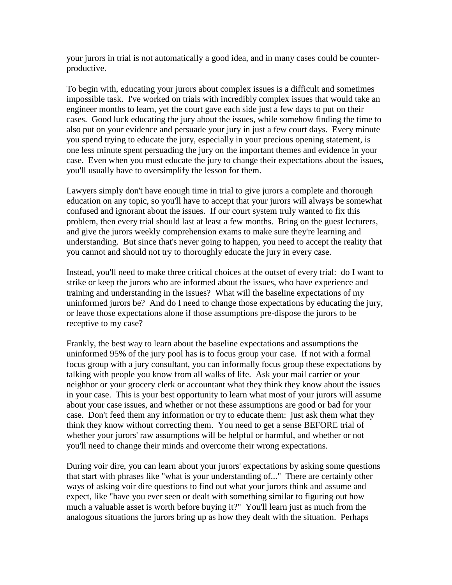your jurors in trial is not automatically a good idea, and in many cases could be counterproductive.

To begin with, educating your jurors about complex issues is a difficult and sometimes impossible task. I've worked on trials with incredibly complex issues that would take an engineer months to learn, yet the court gave each side just a few days to put on their cases. Good luck educating the jury about the issues, while somehow finding the time to also put on your evidence and persuade your jury in just a few court days. Every minute you spend trying to educate the jury, especially in your precious opening statement, is one less minute spent persuading the jury on the important themes and evidence in your case. Even when you must educate the jury to change their expectations about the issues, you'll usually have to oversimplify the lesson for them.

Lawyers simply don't have enough time in trial to give jurors a complete and thorough education on any topic, so you'll have to accept that your jurors will always be somewhat confused and ignorant about the issues. If our court system truly wanted to fix this problem, then every trial should last at least a few months. Bring on the guest lecturers, and give the jurors weekly comprehension exams to make sure they're learning and understanding. But since that's never going to happen, you need to accept the reality that you cannot and should not try to thoroughly educate the jury in every case.

Instead, you'll need to make three critical choices at the outset of every trial: do I want to strike or keep the jurors who are informed about the issues, who have experience and training and understanding in the issues? What will the baseline expectations of my uninformed jurors be? And do I need to change those expectations by educating the jury, or leave those expectations alone if those assumptions pre-dispose the jurors to be receptive to my case?

Frankly, the best way to learn about the baseline expectations and assumptions the uninformed 95% of the jury pool has is to focus group your case. If not with a formal focus group with a jury consultant, you can informally focus group these expectations by talking with people you know from all walks of life. Ask your mail carrier or your neighbor or your grocery clerk or accountant what they think they know about the issues in your case. This is your best opportunity to learn what most of your jurors will assume about your case issues, and whether or not these assumptions are good or bad for your case. Don't feed them any information or try to educate them: just ask them what they think they know without correcting them. You need to get a sense BEFORE trial of whether your jurors' raw assumptions will be helpful or harmful, and whether or not you'll need to change their minds and overcome their wrong expectations.

During voir dire, you can learn about your jurors' expectations by asking some questions that start with phrases like "what is your understanding of..." There are certainly other ways of asking voir dire questions to find out what your jurors think and assume and expect, like "have you ever seen or dealt with something similar to figuring out how much a valuable asset is worth before buying it?" You'll learn just as much from the analogous situations the jurors bring up as how they dealt with the situation. Perhaps